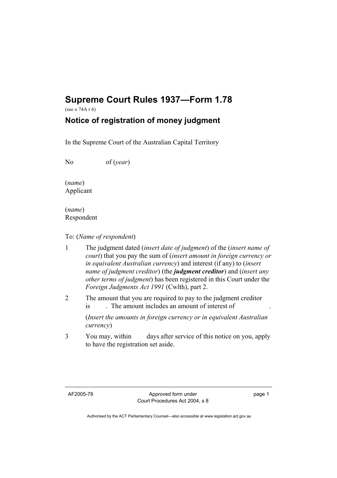## **Supreme Court Rules 1937—Form 1.78**

(see o 74A r 6)

## **Notice of registration of money judgment**

In the Supreme Court of the Australian Capital Territory

No of (*year*)

(*name*) Applicant

(*name*) Respondent

## To: (*Name of respondent*)

- 1 The judgment dated (*insert date of judgment*) of the (*insert name of court*) that you pay the sum of (*insert amount in foreign currency or in equivalent Australian currency*) and interest (if any) to (*insert name of judgment creditor*) (the *judgment creditor*) and (*insert any other terms of judgment*) has been registered in this Court under the *Foreign Judgments Act 1991* (Cwlth), part 2.
- 2 The amount that you are required to pay to the judgment creditor is . The amount includes an amount of interest of

(*Insert the amounts in foreign currency or in equivalent Australian currency*)

3 You may, within days after service of this notice on you, apply to have the registration set aside.

page 1

Authorised by the ACT Parliamentary Counsel—also accessible at www.legislation.act.gov.au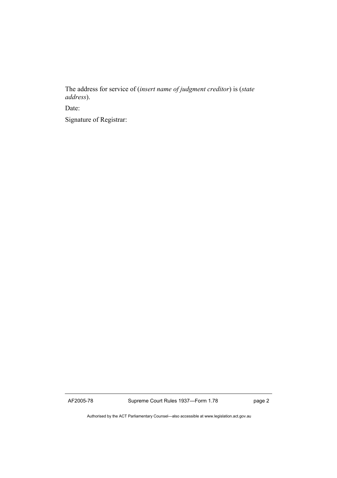The address for service of (*insert name of judgment creditor*) is (*state address*).

Date:

Signature of Registrar:

AF2005-78 Supreme Court Rules 1937—Form 1.78 page 2

Authorised by the ACT Parliamentary Counsel—also accessible at www.legislation.act.gov.au